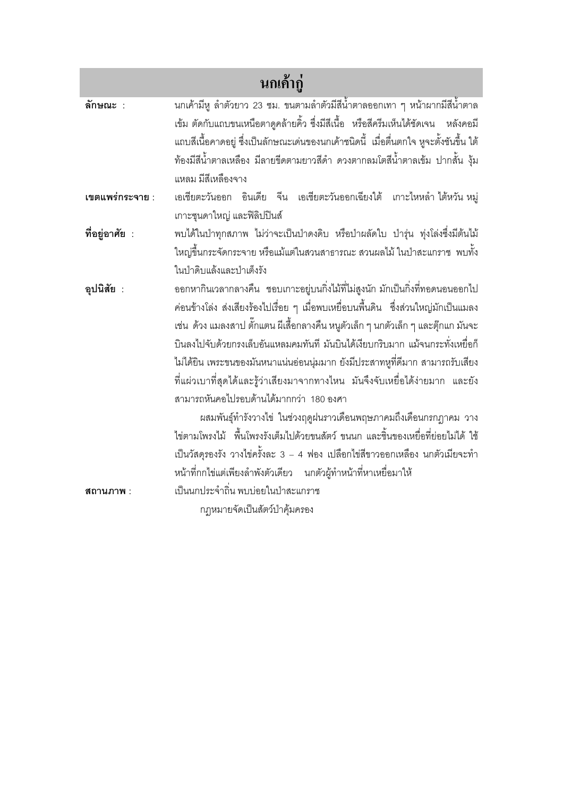| ็นกเค้ากู่      |                                                                                                                                                                                                                                                                                                                                                                                                                                                                                                                                                                                                                                                                                                                                                                                                                                                                             |
|-----------------|-----------------------------------------------------------------------------------------------------------------------------------------------------------------------------------------------------------------------------------------------------------------------------------------------------------------------------------------------------------------------------------------------------------------------------------------------------------------------------------------------------------------------------------------------------------------------------------------------------------------------------------------------------------------------------------------------------------------------------------------------------------------------------------------------------------------------------------------------------------------------------|
| ลักษณะ :        | นกเค้ามีหู ลำตัวยาว 23 ซม. ขนตามลำตัวมีสีน้ำตาลออกเทา ๆ หน้าผากมีสีน้ำตาล<br>เข้ม ตัดกับแถบขนเหนือตาดูคล้ายคิ้ว ซึ่งมีสีเนื้อ  หรือสีครีมเห็นได้ชัดเจน   หลังคอมี<br>แถบสีเนื้อคาดอยู่ ซึ่งเป็นลักษณะเด่นของนกเค้าชนิดนี้  เมื่อตื่นตกใจ หูจะตั้งชันขึ้น ใต้<br>ท้องมีสีน้ำตาลเหลือง มีลายขีดตามยาวสีดำ ดวงตากลมโตสีน้ำตาลเข้ม ปากสั้น งุ้ม<br>แหลม มีสีเหลืองจาง                                                                                                                                                                                                                                                                                                                                                                                                                                                                                                           |
| เขตแพร่กระจาย : | เอเชียตะวันออก อินเดีย จีน เอเชียตะวันออกเฉียงใต้ เกาะไหหลำ ไต้หวัน $w$ มู่<br>เกาะซุนดาใหญ่ และฟิลิปปินส์                                                                                                                                                                                                                                                                                                                                                                                                                                                                                                                                                                                                                                                                                                                                                                  |
| ที่อยู่อาศัย :  | พบได้ในป่าทุกสภาพ ไม่ว่าจะเป็นป่าดงดิบ หรือป่าผลัดใบ ป่ารุ่น ทุ่งโล่งซึ่งมีต้นไม้<br>ใหญ่ขึ้นกระจัดกระจาย หรือแม้แต่ในสวนสาธารณะ สวนผลไม้ ในป่าสะแกราช  พบทั้ง<br>ในป่าดิบแล้งและป่าเต็งรัง                                                                                                                                                                                                                                                                                                                                                                                                                                                                                                                                                                                                                                                                                 |
| อุปนิสัย :      | ออกหากินเวลากลางคืน  ชอบเกาะอยู่บนกิ่งไม้ที่ไม่สูงนัก มักเป็นกิ่งที่ทอดนอนออกไป<br>ค่อนข้างโล่ง ส่งเสียงร้องไปเรื่อย ๆ เมื่อพบเหยื่อบนพื้นดิน  ซึ่งส่วนใหญ่มักเป็นแมลง<br>เช่น  ด้วง แมลงสาป ตั๊กแตน ผีเสื้อกลางคืน หนูตัวเล็ก ๆ นกตัวเล็ก ๆ และตุ๊กแก มันจะ<br>บินลงไปจับด้วยกรงเล็บอันแหลมคมทันที มันบินได้เงียบกริบมาก แม้จนกระทั่งเหยื่อก็<br>ไม่ได้ยิน เพระขนของมันหนาแน่นอ่อนนุ่มมาก ยังมีประสาทหูที่ดีมาก สามารถรับเสียง<br>ที่แผ่วเบาที่สุดได้และรู้ว่าเสียงมาจากทางไหน มันจึงจับเหยื่อได้ง่ายมาก และยัง<br>สามารถหันคอไปรอบด้านได้มากกว่า 180 องศา<br>ผสมพันธุ์ทำรังวางไข่ ในช่วงฤดูฝนราวเดือนพฤษภาคมถึงเดือนกรกฎาคม วาง<br>ไข่ตามโพรงไม้ พื้นโพรงรังเต็มไปด้วยขนสัตว์ ขนนก และชิ้นของเหยื่อที่ย่อยไม่ได้ ใช้<br>เป็นวัสดุรองรัง วางไข่ครั้งละ 3 – 4 ฟอง เปลือกไข่สีขาวออกเหลือง นกตัวเมียจะทำ<br>หน้าที่กกไข่แต่เพียงลำพังตัวเดียว นกตัวผู้ทำหน้าที่หาเหยื่อมาให้ |
| สถานภาพ :       | เป็นนกประจำถิ่น พบบ่อยในป่าสะแกราช                                                                                                                                                                                                                                                                                                                                                                                                                                                                                                                                                                                                                                                                                                                                                                                                                                          |
|                 | กฎหมายจัดเป็นสัตว์ป่าคุ้มครอง                                                                                                                                                                                                                                                                                                                                                                                                                                                                                                                                                                                                                                                                                                                                                                                                                                               |